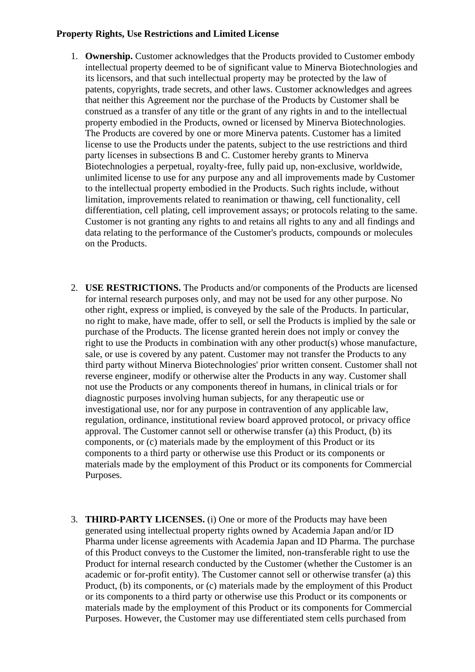## **Property Rights, Use Restrictions and Limited License**

- 1. **Ownership.** Customer acknowledges that the Products provided to Customer embody intellectual property deemed to be of significant value to Minerva Biotechnologies and its licensors, and that such intellectual property may be protected by the law of patents, copyrights, trade secrets, and other laws. Customer acknowledges and agrees that neither this Agreement nor the purchase of the Products by Customer shall be construed as a transfer of any title or the grant of any rights in and to the intellectual property embodied in the Products, owned or licensed by Minerva Biotechnologies. The Products are covered by one or more Minerva patents. Customer has a limited license to use the Products under the patents, subject to the use restrictions and third party licenses in subsections B and C. Customer hereby grants to Minerva Biotechnologies a perpetual, royalty-free, fully paid up, non-exclusive, worldwide, unlimited license to use for any purpose any and all improvements made by Customer to the intellectual property embodied in the Products. Such rights include, without limitation, improvements related to reanimation or thawing, cell functionality, cell differentiation, cell plating, cell improvement assays; or protocols relating to the same. Customer is not granting any rights to and retains all rights to any and all findings and data relating to the performance of the Customer's products, compounds or molecules on the Products.
- 2. **USE RESTRICTIONS.** The Products and/or components of the Products are licensed for internal research purposes only, and may not be used for any other purpose. No other right, express or implied, is conveyed by the sale of the Products. In particular, no right to make, have made, offer to sell, or sell the Products is implied by the sale or purchase of the Products. The license granted herein does not imply or convey the right to use the Products in combination with any other product(s) whose manufacture, sale, or use is covered by any patent. Customer may not transfer the Products to any third party without Minerva Biotechnologies' prior written consent. Customer shall not reverse engineer, modify or otherwise alter the Products in any way. Customer shall not use the Products or any components thereof in humans, in clinical trials or for diagnostic purposes involving human subjects, for any therapeutic use or investigational use, nor for any purpose in contravention of any applicable law, regulation, ordinance, institutional review board approved protocol, or privacy office approval. The Customer cannot sell or otherwise transfer (a) this Product, (b) its components, or (c) materials made by the employment of this Product or its components to a third party or otherwise use this Product or its components or materials made by the employment of this Product or its components for Commercial Purposes.
- 3. **THIRD-PARTY LICENSES.** (i) One or more of the Products may have been generated using intellectual property rights owned by Academia Japan and/or ID Pharma under license agreements with Academia Japan and ID Pharma. The purchase of this Product conveys to the Customer the limited, non-transferable right to use the Product for internal research conducted by the Customer (whether the Customer is an academic or for-profit entity). The Customer cannot sell or otherwise transfer (a) this Product, (b) its components, or (c) materials made by the employment of this Product or its components to a third party or otherwise use this Product or its components or materials made by the employment of this Product or its components for Commercial Purposes. However, the Customer may use differentiated stem cells purchased from